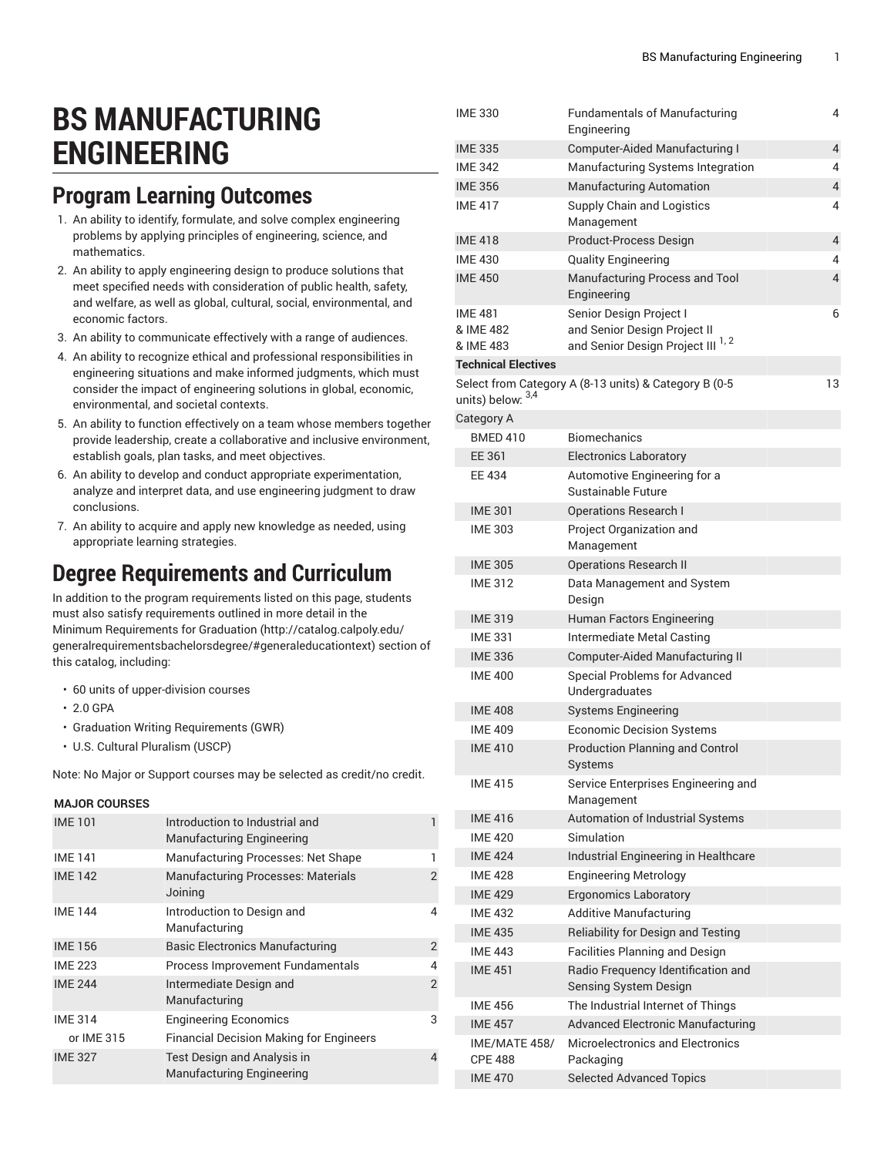# **BS MANUFACTURING ENGINEERING**

### **Program Learning Outcomes**

- 1. An ability to identify, formulate, and solve complex engineering problems by applying principles of engineering, science, and mathematics.
- 2. An ability to apply engineering design to produce solutions that meet specified needs with consideration of public health, safety, and welfare, as well as global, cultural, social, environmental, and economic factors.
- 3. An ability to communicate effectively with a range of audiences.
- 4. An ability to recognize ethical and professional responsibilities in engineering situations and make informed judgments, which must consider the impact of engineering solutions in global, economic, environmental, and societal contexts.
- 5. An ability to function effectively on a team whose members together provide leadership, create a collaborative and inclusive environment, establish goals, plan tasks, and meet objectives.
- 6. An ability to develop and conduct appropriate experimentation, analyze and interpret data, and use engineering judgment to draw conclusions.
- 7. An ability to acquire and apply new knowledge as needed, using appropriate learning strategies.

#### **Degree Requirements and Curriculum**

In addition to the program requirements listed on this page, students must also satisfy requirements outlined in more detail in the Minimum [Requirements](http://catalog.calpoly.edu/generalrequirementsbachelorsdegree/#generaleducationtext) for Graduation ([http://catalog.calpoly.edu/](http://catalog.calpoly.edu/generalrequirementsbachelorsdegree/#generaleducationtext) [generalrequirementsbachelorsdegree/#generaleducationtext\)](http://catalog.calpoly.edu/generalrequirementsbachelorsdegree/#generaleducationtext) section of this catalog, including:

- 60 units of upper-division courses
- 2.0 GPA
- Graduation Writing Requirements (GWR)
- U.S. Cultural Pluralism (USCP)

Note: No Major or Support courses may be selected as credit/no credit.

#### **MAJOR COURSES**

| <b>IME101</b>  | Introduction to Industrial and<br><b>Manufacturing Engineering</b>     |                |
|----------------|------------------------------------------------------------------------|----------------|
| <b>IME 141</b> | Manufacturing Processes: Net Shape                                     |                |
| <b>IME 142</b> | <b>Manufacturing Processes: Materials</b><br>Joining                   | 2              |
| <b>IME 144</b> | Introduction to Design and<br>Manufacturing                            | 4              |
| <b>IME 156</b> | <b>Basic Electronics Manufacturing</b>                                 | $\overline{2}$ |
| <b>IME 223</b> | Process Improvement Fundamentals                                       | 4              |
| <b>IME 244</b> | Intermediate Design and<br>Manufacturing                               | $\overline{2}$ |
| <b>IME 314</b> | <b>Engineering Economics</b>                                           | 3              |
| or IME 315     | <b>Financial Decision Making for Engineers</b>                         |                |
| <b>IME 327</b> | <b>Test Design and Analysis in</b><br><b>Manufacturing Engineering</b> | 4              |

| <b>IME 330</b>                  | <b>Fundamentals of Manufacturing</b><br>Engineering         | 4  |
|---------------------------------|-------------------------------------------------------------|----|
| <b>IME 335</b>                  | Computer-Aided Manufacturing I                              | 4  |
| <b>IME 342</b>                  | Manufacturing Systems Integration                           | 4  |
| <b>IME 356</b>                  | <b>Manufacturing Automation</b>                             | 4  |
| <b>IME 417</b>                  | Supply Chain and Logistics<br>Management                    | 4  |
| <b>IME 418</b>                  | Product-Process Design                                      | 4  |
| <b>IME 430</b>                  | <b>Quality Engineering</b>                                  | 4  |
| <b>IME 450</b>                  | Manufacturing Process and Tool<br>Engineering               | 4  |
| <b>IME 481</b><br>& IME 482     | Senior Design Project I<br>and Senior Design Project II     | 6  |
| & IME 483                       | and Senior Design Project III <sup>1,2</sup>                |    |
| <b>Technical Electives</b>      |                                                             |    |
| units) below: 3,4               | Select from Category A (8-13 units) & Category B (0-5       | 13 |
| Category A                      |                                                             |    |
| <b>BMED 410</b>                 | <b>Biomechanics</b>                                         |    |
| EE 361                          | <b>Electronics Laboratory</b>                               |    |
| <b>EE 434</b>                   | Automotive Engineering for a<br>Sustainable Future          |    |
| <b>IME 301</b>                  | <b>Operations Research I</b>                                |    |
| <b>IME 303</b>                  | Project Organization and<br>Management                      |    |
| <b>IME 305</b>                  | <b>Operations Research II</b>                               |    |
| <b>IME 312</b>                  | Data Management and System<br>Design                        |    |
| <b>IME 319</b>                  | Human Factors Engineering                                   |    |
| <b>IME 331</b>                  | Intermediate Metal Casting                                  |    |
| <b>IME 336</b>                  | Computer-Aided Manufacturing II                             |    |
| <b>IME 400</b>                  | <b>Special Problems for Advanced</b><br>Undergraduates      |    |
| <b>IME 408</b>                  | <b>Systems Engineering</b>                                  |    |
| <b>IME 409</b>                  | <b>Economic Decision Systems</b>                            |    |
| <b>IMF410</b>                   | <b>Production Planning and Control</b><br>Systems           |    |
| <b>IME 415</b>                  | Service Enterprises Engineering and<br>Management           |    |
| <b>IME 416</b>                  | Automation of Industrial Systems                            |    |
| <b>IME 420</b>                  | Simulation                                                  |    |
| <b>IME 424</b>                  | Industrial Engineering in Healthcare                        |    |
| <b>IME 428</b>                  | <b>Engineering Metrology</b>                                |    |
| <b>IME 429</b>                  | <b>Ergonomics Laboratory</b>                                |    |
| <b>IME 432</b>                  | <b>Additive Manufacturing</b>                               |    |
| <b>IME 435</b>                  | Reliability for Design and Testing                          |    |
| <b>IME 443</b>                  | <b>Facilities Planning and Design</b>                       |    |
| <b>IME 451</b>                  | Radio Frequency Identification and<br>Sensing System Design |    |
| <b>IME 456</b>                  | The Industrial Internet of Things                           |    |
| <b>IME 457</b>                  | <b>Advanced Electronic Manufacturing</b>                    |    |
| IME/MATE 458/<br><b>CPE 488</b> | Microelectronics and Electronics<br>Packaging               |    |
| <b>IME 470</b>                  | <b>Selected Advanced Topics</b>                             |    |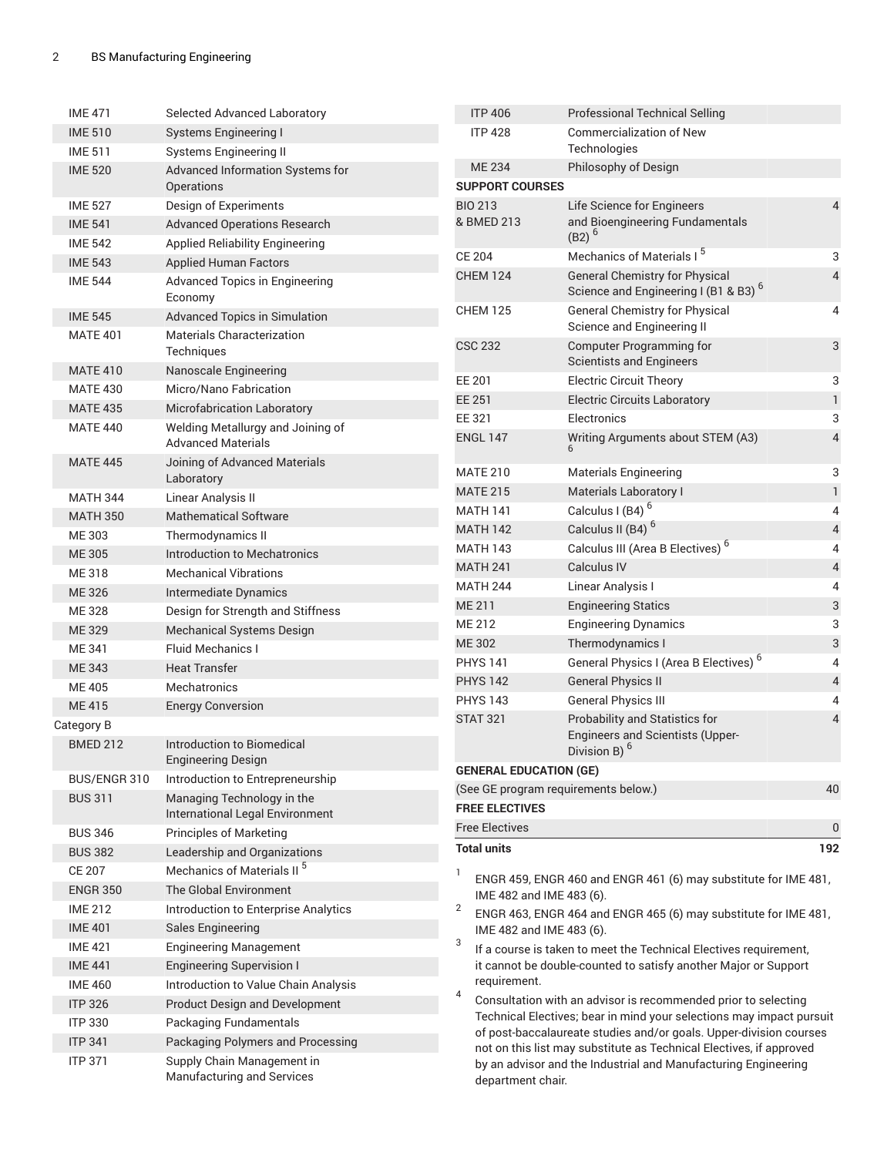| <b>IME 471</b>  | Selected Advanced Laboratory                             | <b>ITP 406</b>                                                                                                                                                                                                    | <b>Professional Technical Selling</b>                               |                               |
|-----------------|----------------------------------------------------------|-------------------------------------------------------------------------------------------------------------------------------------------------------------------------------------------------------------------|---------------------------------------------------------------------|-------------------------------|
| <b>IME 510</b>  | <b>Systems Engineering I</b>                             | <b>ITP 428</b>                                                                                                                                                                                                    | <b>Commercialization of New</b>                                     |                               |
| <b>IME 511</b>  | <b>Systems Engineering II</b>                            |                                                                                                                                                                                                                   | Technologies                                                        |                               |
| <b>IME 520</b>  | Advanced Information Systems for                         | <b>ME 234</b>                                                                                                                                                                                                     | Philosophy of Design                                                |                               |
|                 | Operations                                               | <b>SUPPORT COURSES</b>                                                                                                                                                                                            |                                                                     |                               |
| <b>IME 527</b>  | Design of Experiments                                    | <b>BIO 213</b>                                                                                                                                                                                                    | Life Science for Engineers                                          | 4                             |
| <b>IME 541</b>  | <b>Advanced Operations Research</b>                      | & BMED 213                                                                                                                                                                                                        | and Bioengineering Fundamentals<br>$(B2)^{6}$                       |                               |
| <b>IME 542</b>  | <b>Applied Reliability Engineering</b>                   | <b>CE 204</b>                                                                                                                                                                                                     | Mechanics of Materials I <sup>5</sup>                               | 3                             |
| <b>IME 543</b>  | <b>Applied Human Factors</b>                             | <b>CHEM 124</b>                                                                                                                                                                                                   | <b>General Chemistry for Physical</b>                               | $\overline{4}$                |
| <b>IME 544</b>  | Advanced Topics in Engineering<br>Economy                |                                                                                                                                                                                                                   | Science and Engineering I (B1 & B3) <sup>6</sup>                    |                               |
| <b>IME 545</b>  | <b>Advanced Topics in Simulation</b>                     | <b>CHEM 125</b>                                                                                                                                                                                                   | <b>General Chemistry for Physical</b><br>Science and Engineering II | 4                             |
| <b>MATE 401</b> | Materials Characterization<br>Techniques                 | <b>CSC 232</b>                                                                                                                                                                                                    | <b>Computer Programming for</b>                                     | $\ensuremath{\mathsf{3}}$     |
| <b>MATE 410</b> | Nanoscale Engineering                                    | EE 201                                                                                                                                                                                                            | <b>Scientists and Engineers</b><br><b>Electric Circuit Theory</b>   | 3                             |
| <b>MATE 430</b> | Micro/Nano Fabrication                                   | <b>EE 251</b>                                                                                                                                                                                                     |                                                                     |                               |
| <b>MATE 435</b> | Microfabrication Laboratory                              | EE 321                                                                                                                                                                                                            | <b>Electric Circuits Laboratory</b><br>Electronics                  | $\mathbf{1}$                  |
| <b>MATE 440</b> | Welding Metallurgy and Joining of                        | <b>ENGL 147</b>                                                                                                                                                                                                   | Writing Arguments about STEM (A3)                                   | 3<br>$\overline{\mathcal{A}}$ |
|                 | <b>Advanced Materials</b>                                |                                                                                                                                                                                                                   |                                                                     |                               |
| <b>MATE 445</b> | Joining of Advanced Materials<br>Laboratory              | <b>MATE 210</b>                                                                                                                                                                                                   | <b>Materials Engineering</b>                                        | 3                             |
| <b>MATH 344</b> | Linear Analysis II                                       | <b>MATE 215</b>                                                                                                                                                                                                   | Materials Laboratory I                                              | $\mathbf{1}$                  |
| <b>MATH 350</b> | <b>Mathematical Software</b>                             | <b>MATH 141</b>                                                                                                                                                                                                   | Calculus I (B4) <sup>6</sup>                                        | 4                             |
| ME 303          | Thermodynamics II                                        | <b>MATH 142</b>                                                                                                                                                                                                   | Calculus II (B4) <sup>6</sup>                                       | $\sqrt{4}$                    |
| <b>ME305</b>    | <b>Introduction to Mechatronics</b>                      | <b>MATH 143</b>                                                                                                                                                                                                   | Calculus III (Area B Electives) <sup>6</sup>                        | 4                             |
| ME 318          | <b>Mechanical Vibrations</b>                             | <b>MATH 241</b>                                                                                                                                                                                                   | Calculus IV                                                         | $\overline{\mathcal{L}}$      |
| ME 326          | Intermediate Dynamics                                    | <b>MATH 244</b>                                                                                                                                                                                                   | Linear Analysis I                                                   | 4                             |
| ME 328          | Design for Strength and Stiffness                        | <b>ME 211</b>                                                                                                                                                                                                     | <b>Engineering Statics</b>                                          | $\ensuremath{\mathsf{3}}$     |
| <b>ME329</b>    | Mechanical Systems Design                                | ME 212                                                                                                                                                                                                            | <b>Engineering Dynamics</b>                                         | 3                             |
| ME 341          | <b>Fluid Mechanics I</b>                                 | ME 302                                                                                                                                                                                                            | Thermodynamics I                                                    | $\mathbf{3}$                  |
| ME 343          | <b>Heat Transfer</b>                                     | <b>PHYS 141</b>                                                                                                                                                                                                   | General Physics I (Area B Electives) <sup>6</sup>                   | 4                             |
| <b>ME405</b>    | <b>Mechatronics</b>                                      | <b>PHYS 142</b>                                                                                                                                                                                                   | <b>General Physics II</b>                                           | $\overline{\mathbf{4}}$       |
| ME 415          | <b>Energy Conversion</b>                                 | <b>PHYS 143</b>                                                                                                                                                                                                   | <b>General Physics III</b>                                          | 4                             |
| Category B      |                                                          | <b>STAT 321</b>                                                                                                                                                                                                   | Probability and Statistics for                                      | $\overline{4}$                |
| <b>BMED 212</b> | Introduction to Biomedical<br>Engineering Design         |                                                                                                                                                                                                                   | <b>Engineers and Scientists (Upper-</b><br>Division B) <sup>6</sup> |                               |
| BUS/ENGR 310    | Introduction to Entrepreneurship                         | <b>GENERAL EDUCATION (GE)</b>                                                                                                                                                                                     |                                                                     |                               |
| <b>BUS 311</b>  | Managing Technology in the                               | (See GE program requirements below.)                                                                                                                                                                              |                                                                     | 40                            |
|                 | International Legal Environment                          | <b>FREE ELECTIVES</b>                                                                                                                                                                                             |                                                                     |                               |
| <b>BUS 346</b>  | <b>Principles of Marketing</b>                           | <b>Free Electives</b>                                                                                                                                                                                             |                                                                     | $\pmb{0}$                     |
| <b>BUS 382</b>  | Leadership and Organizations                             | <b>Total units</b>                                                                                                                                                                                                |                                                                     | 192                           |
| <b>CE 207</b>   | Mechanics of Materials II <sup>5</sup>                   | 1                                                                                                                                                                                                                 | ENGR 459, ENGR 460 and ENGR 461 (6) may substitute for IME 481,     |                               |
| <b>ENGR 350</b> | The Global Environment                                   | IME 482 and IME 483 (6).                                                                                                                                                                                          |                                                                     |                               |
| <b>IME 212</b>  | Introduction to Enterprise Analytics                     | $\overline{2}$                                                                                                                                                                                                    | ENGR 463, ENGR 464 and ENGR 465 (6) may substitute for IME 481,     |                               |
| <b>IME 401</b>  | <b>Sales Engineering</b>                                 | IME 482 and IME 483 (6).                                                                                                                                                                                          |                                                                     |                               |
| <b>IME 421</b>  | <b>Engineering Management</b>                            | 3<br>If a course is taken to meet the Technical Electives requirement,                                                                                                                                            |                                                                     |                               |
| <b>IME 441</b>  | <b>Engineering Supervision I</b>                         |                                                                                                                                                                                                                   | it cannot be double-counted to satisfy another Major or Support     |                               |
| <b>IME 460</b>  | Introduction to Value Chain Analysis                     | requirement.<br>4                                                                                                                                                                                                 |                                                                     |                               |
| <b>ITP 326</b>  | <b>Product Design and Development</b>                    |                                                                                                                                                                                                                   | Consultation with an advisor is recommended prior to selecting      |                               |
| <b>ITP 330</b>  | Packaging Fundamentals                                   | Technical Electives; bear in mind your selections may impact pursuit<br>of post-baccalaureate studies and/or goals. Upper-division courses<br>not on this list may substitute as Technical Electives, if approved |                                                                     |                               |
| <b>ITP 341</b>  | Packaging Polymers and Processing                        |                                                                                                                                                                                                                   |                                                                     |                               |
| <b>ITP 371</b>  | Supply Chain Management in<br>Manufacturing and Services | by an advisor and the Industrial and Manufacturing Engineering<br>department chair.                                                                                                                               |                                                                     |                               |